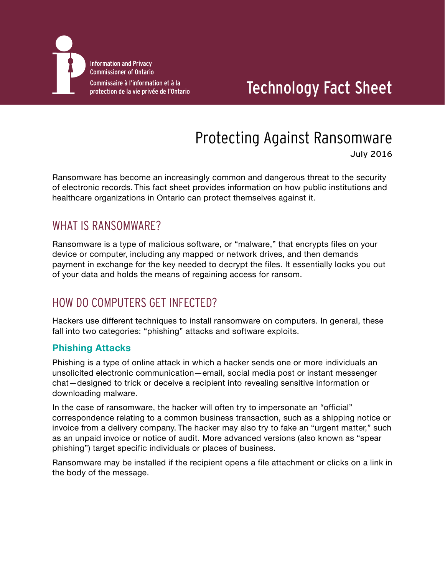

## Technology Fact Sheet

# Protecting Against Ransomware

July 2016

Ransomware has become an increasingly common and dangerous threat to the security of electronic records. This fact sheet provides information on how public institutions and healthcare organizations in Ontario can protect themselves against it.

## WHAT IS RANSOMWARE?

Ransomware is a type of malicious software, or "malware," that encrypts files on your device or computer, including any mapped or network drives, and then demands payment in exchange for the key needed to decrypt the files. It essentially locks you out of your data and holds the means of regaining access for ransom.

## HOW DO COMPUTERS GET INFECTED?

Hackers use different techniques to install ransomware on computers. In general, these fall into two categories: "phishing" attacks and software exploits.

#### **Phishing Attacks**

Phishing is a type of online attack in which a hacker sends one or more individuals an unsolicited electronic communication—email, social media post or instant messenger chat—designed to trick or deceive a recipient into revealing sensitive information or downloading malware.

In the case of ransomware, the hacker will often try to impersonate an "official" correspondence relating to a common business transaction, such as a shipping notice or invoice from a delivery company. The hacker may also try to fake an "urgent matter," such as an unpaid invoice or notice of audit. More advanced versions (also known as "spear phishing") target specific individuals or places of business.

Ransomware may be installed if the recipient opens a file attachment or clicks on a link in the body of the message.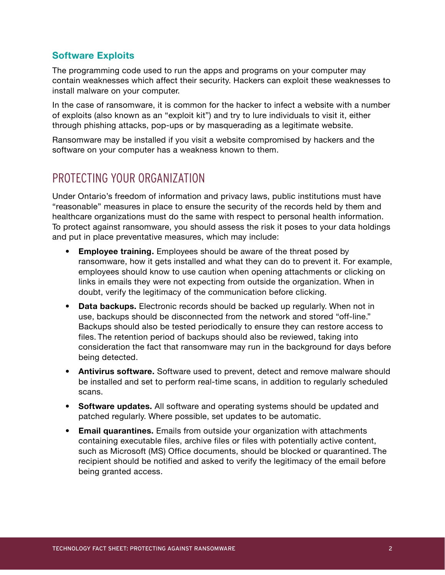#### **Software Exploits**

The programming code used to run the apps and programs on your computer may contain weaknesses which affect their security. Hackers can exploit these weaknesses to install malware on your computer.

In the case of ransomware, it is common for the hacker to infect a website with a number of exploits (also known as an "exploit kit") and try to lure individuals to visit it, either through phishing attacks, pop-ups or by masquerading as a legitimate website.

Ransomware may be installed if you visit a website compromised by hackers and the software on your computer has a weakness known to them.

### PROTECTING YOUR ORGANIZATION

Under Ontario's freedom of information and privacy laws, public institutions must have "reasonable" measures in place to ensure the security of the records held by them and healthcare organizations must do the same with respect to personal health information. To protect against ransomware, you should assess the risk it poses to your data holdings and put in place preventative measures, which may include:

- **Employee training.** Employees should be aware of the threat posed by ransomware, how it gets installed and what they can do to prevent it. For example, employees should know to use caution when opening attachments or clicking on links in emails they were not expecting from outside the organization. When in doubt, verify the legitimacy of the communication before clicking.
- **Data backups.** Electronic records should be backed up regularly. When not in use, backups should be disconnected from the network and stored "off-line." Backups should also be tested periodically to ensure they can restore access to files. The retention period of backups should also be reviewed, taking into consideration the fact that ransomware may run in the background for days before being detected.
- **Antivirus software.** Software used to prevent, detect and remove malware should be installed and set to perform real-time scans, in addition to regularly scheduled scans.
- **Software updates.** All software and operating systems should be updated and patched regularly. Where possible, set updates to be automatic.
- **Email quarantines.** Emails from outside your organization with attachments containing executable files, archive files or files with potentially active content, such as Microsoft (MS) Office documents, should be blocked or quarantined. The recipient should be notified and asked to verify the legitimacy of the email before being granted access.